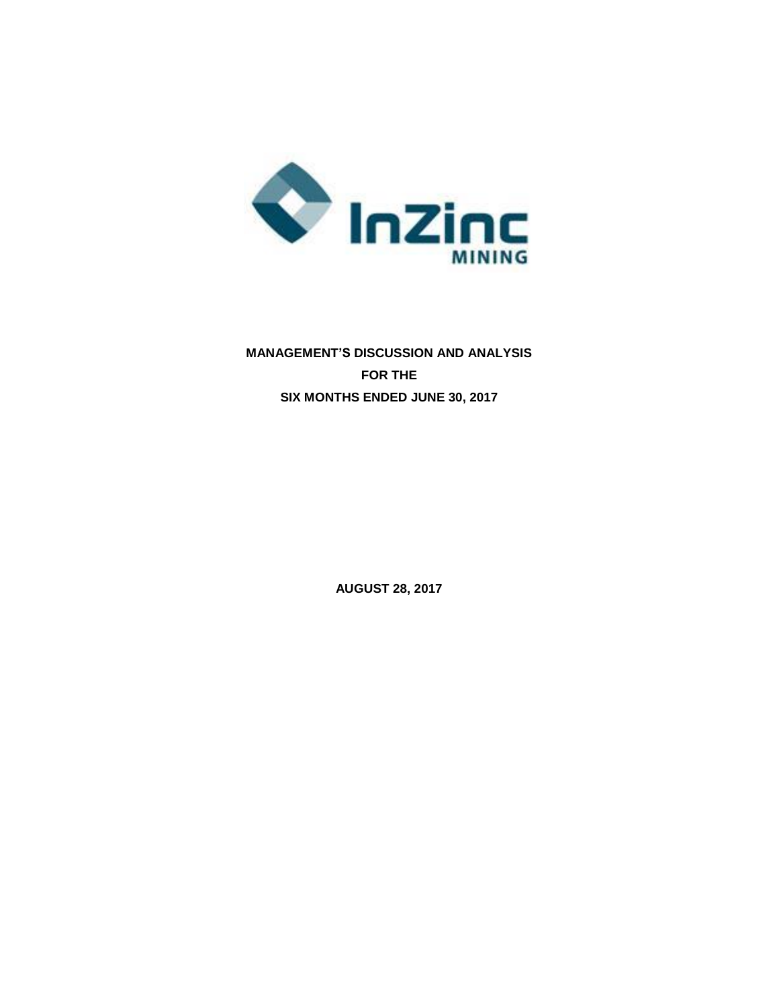

# **MANAGEMENT'S DISCUSSION AND ANALYSIS FOR THE SIX MONTHS ENDED JUNE 30, 2017**

**AUGUST 28, 2017**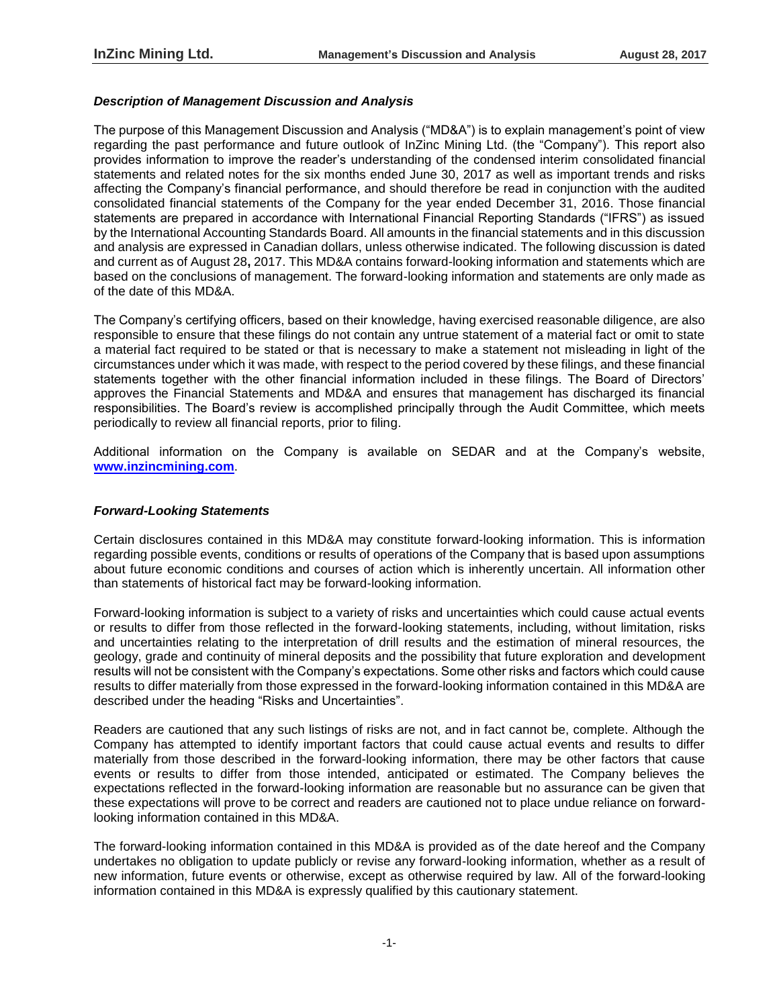## *Description of Management Discussion and Analysis*

The purpose of this Management Discussion and Analysis ("MD&A") is to explain management's point of view regarding the past performance and future outlook of InZinc Mining Ltd. (the "Company"). This report also provides information to improve the reader's understanding of the condensed interim consolidated financial statements and related notes for the six months ended June 30, 2017 as well as important trends and risks affecting the Company's financial performance, and should therefore be read in conjunction with the audited consolidated financial statements of the Company for the year ended December 31, 2016. Those financial statements are prepared in accordance with International Financial Reporting Standards ("IFRS") as issued by the International Accounting Standards Board. All amounts in the financial statements and in this discussion and analysis are expressed in Canadian dollars, unless otherwise indicated. The following discussion is dated and current as of August 28**,** 2017. This MD&A contains forward-looking information and statements which are based on the conclusions of management. The forward-looking information and statements are only made as of the date of this MD&A.

The Company's certifying officers, based on their knowledge, having exercised reasonable diligence, are also responsible to ensure that these filings do not contain any untrue statement of a material fact or omit to state a material fact required to be stated or that is necessary to make a statement not misleading in light of the circumstances under which it was made, with respect to the period covered by these filings, and these financial statements together with the other financial information included in these filings. The Board of Directors' approves the Financial Statements and MD&A and ensures that management has discharged its financial responsibilities. The Board's review is accomplished principally through the Audit Committee, which meets periodically to review all financial reports, prior to filing.

Additional information on the Company is available on SEDAR and at the Company's website, **[www.inzincmining.com](http://www.lithicresources.com/)**.

#### *Forward-Looking Statements*

Certain disclosures contained in this MD&A may constitute forward-looking information. This is information regarding possible events, conditions or results of operations of the Company that is based upon assumptions about future economic conditions and courses of action which is inherently uncertain. All information other than statements of historical fact may be forward-looking information.

Forward-looking information is subject to a variety of risks and uncertainties which could cause actual events or results to differ from those reflected in the forward-looking statements, including, without limitation, risks and uncertainties relating to the interpretation of drill results and the estimation of mineral resources, the geology, grade and continuity of mineral deposits and the possibility that future exploration and development results will not be consistent with the Company's expectations. Some other risks and factors which could cause results to differ materially from those expressed in the forward-looking information contained in this MD&A are described under the heading "Risks and Uncertainties".

Readers are cautioned that any such listings of risks are not, and in fact cannot be, complete. Although the Company has attempted to identify important factors that could cause actual events and results to differ materially from those described in the forward-looking information, there may be other factors that cause events or results to differ from those intended, anticipated or estimated. The Company believes the expectations reflected in the forward-looking information are reasonable but no assurance can be given that these expectations will prove to be correct and readers are cautioned not to place undue reliance on forwardlooking information contained in this MD&A.

The forward-looking information contained in this MD&A is provided as of the date hereof and the Company undertakes no obligation to update publicly or revise any forward-looking information, whether as a result of new information, future events or otherwise, except as otherwise required by law. All of the forward-looking information contained in this MD&A is expressly qualified by this cautionary statement.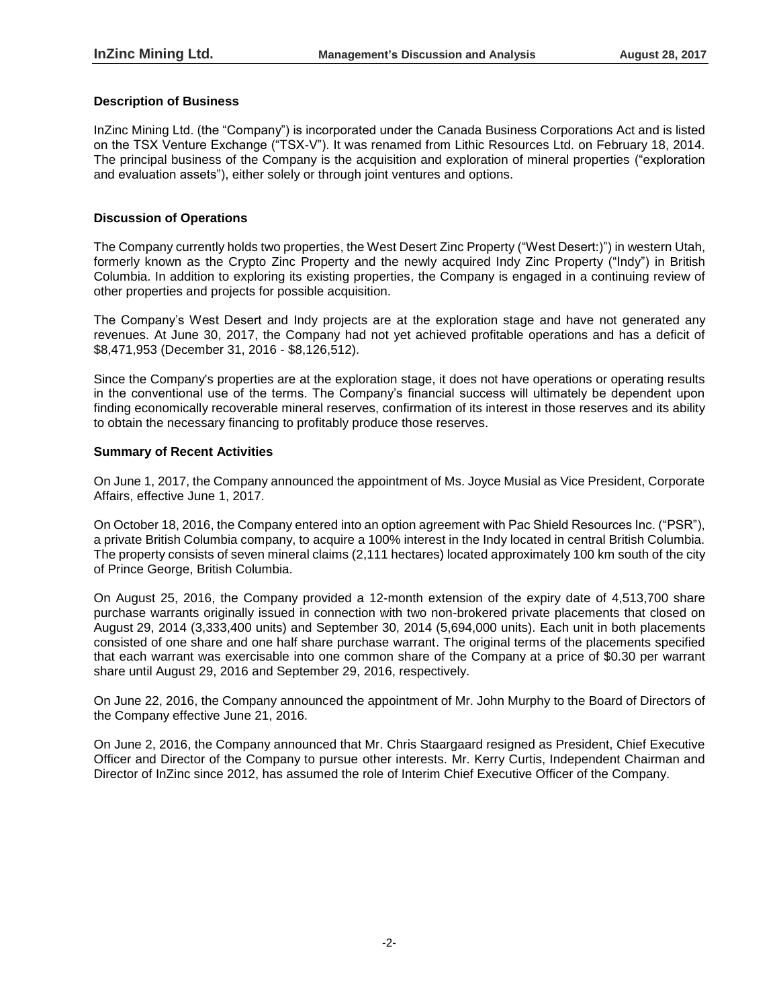## **Description of Business**

InZinc Mining Ltd. (the "Company") is incorporated under the Canada Business Corporations Act and is listed on the TSX Venture Exchange ("TSX-V"). It was renamed from Lithic Resources Ltd. on February 18, 2014. The principal business of the Company is the acquisition and exploration of mineral properties ("exploration and evaluation assets"), either solely or through joint ventures and options.

## **Discussion of Operations**

The Company currently holds two properties, the West Desert Zinc Property ("West Desert:)") in western Utah, formerly known as the Crypto Zinc Property and the newly acquired Indy Zinc Property ("Indy") in British Columbia. In addition to exploring its existing properties, the Company is engaged in a continuing review of other properties and projects for possible acquisition.

The Company's West Desert and Indy projects are at the exploration stage and have not generated any revenues. At June 30, 2017, the Company had not yet achieved profitable operations and has a deficit of \$8,471,953 (December 31, 2016 - \$8,126,512).

Since the Company's properties are at the exploration stage, it does not have operations or operating results in the conventional use of the terms. The Company's financial success will ultimately be dependent upon finding economically recoverable mineral reserves, confirmation of its interest in those reserves and its ability to obtain the necessary financing to profitably produce those reserves.

#### **Summary of Recent Activities**

On June 1, 2017, the Company announced the appointment of Ms. Joyce Musial as Vice President, Corporate Affairs, effective June 1, 2017.

On October 18, 2016, the Company entered into an option agreement with Pac Shield Resources Inc. ("PSR"), a private British Columbia company, to acquire a 100% interest in the Indy located in central British Columbia. The property consists of seven mineral claims (2,111 hectares) located approximately 100 km south of the city of Prince George, British Columbia.

On August 25, 2016, the Company provided a 12-month extension of the expiry date of 4,513,700 share purchase warrants originally issued in connection with two non-brokered private placements that closed on August 29, 2014 (3,333,400 units) and September 30, 2014 (5,694,000 units). Each unit in both placements consisted of one share and one half share purchase warrant. The original terms of the placements specified that each warrant was exercisable into one common share of the Company at a price of \$0.30 per warrant share until August 29, 2016 and September 29, 2016, respectively.

On June 22, 2016, the Company announced the appointment of Mr. John Murphy to the Board of Directors of the Company effective June 21, 2016.

On June 2, 2016, the Company announced that Mr. Chris Staargaard resigned as President, Chief Executive Officer and Director of the Company to pursue other interests. Mr. Kerry Curtis, Independent Chairman and Director of InZinc since 2012, has assumed the role of Interim Chief Executive Officer of the Company.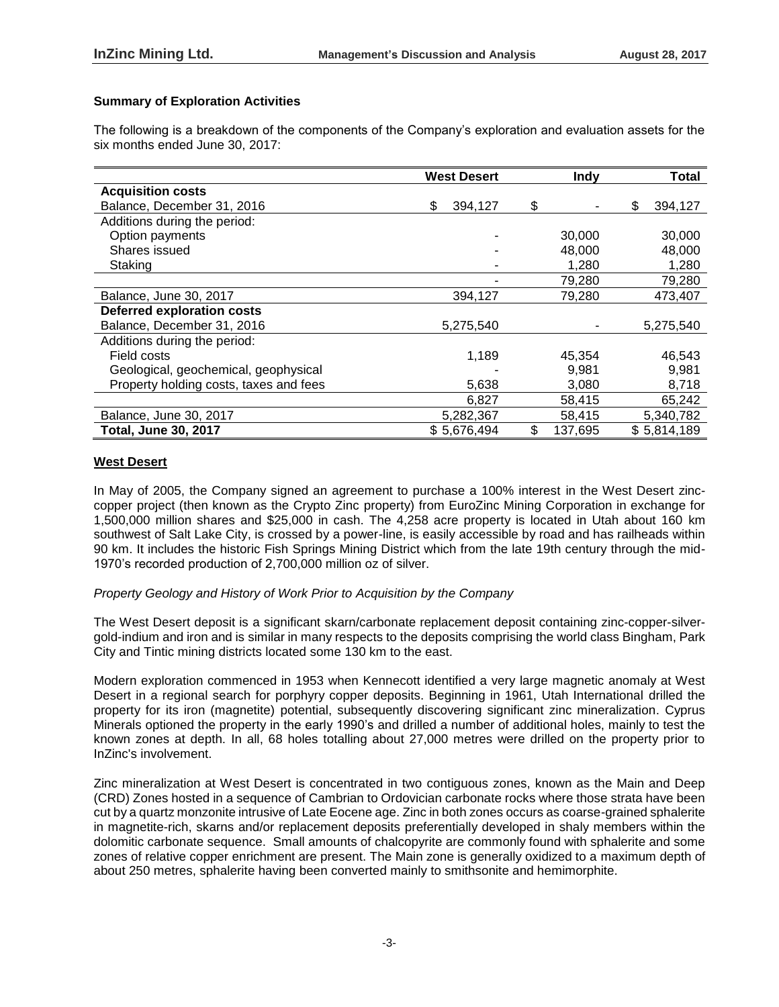## **Summary of Exploration Activities**

The following is a breakdown of the components of the Company's exploration and evaluation assets for the six months ended June 30, 2017:

|                                        | <b>West Desert</b> | <b>Indy</b>   | Total         |
|----------------------------------------|--------------------|---------------|---------------|
| <b>Acquisition costs</b>               |                    |               |               |
| Balance, December 31, 2016             | \$<br>394,127      | \$            | \$<br>394,127 |
| Additions during the period:           |                    |               |               |
| Option payments                        |                    | 30,000        | 30,000        |
| Shares issued                          |                    | 48,000        | 48,000        |
| Staking                                |                    | 1,280         | 1,280         |
|                                        |                    | 79,280        | 79,280        |
| Balance, June 30, 2017                 | 394,127            | 79,280        | 473,407       |
| <b>Deferred exploration costs</b>      |                    |               |               |
| Balance, December 31, 2016             | 5,275,540          |               | 5,275,540     |
| Additions during the period:           |                    |               |               |
| Field costs                            | 1,189              | 45,354        | 46,543        |
| Geological, geochemical, geophysical   |                    | 9,981         | 9,981         |
| Property holding costs, taxes and fees | 5,638              | 3,080         | 8,718         |
|                                        | 6,827              | 58,415        | 65,242        |
| Balance, June 30, 2017                 | 5,282,367          | 58,415        | 5,340,782     |
| <b>Total, June 30, 2017</b>            | \$5,676,494        | \$<br>137,695 | \$5,814,189   |

#### **West Desert**

In May of 2005, the Company signed an agreement to purchase a 100% interest in the West Desert zinccopper project (then known as the Crypto Zinc property) from EuroZinc Mining Corporation in exchange for 1,500,000 million shares and \$25,000 in cash. The 4,258 acre property is located in Utah about 160 km southwest of Salt Lake City, is crossed by a power-line, is easily accessible by road and has railheads within 90 km. It includes the historic Fish Springs Mining District which from the late 19th century through the mid-1970's recorded production of 2,700,000 million oz of silver.

### *Property Geology and History of Work Prior to Acquisition by the Company*

The West Desert deposit is a significant skarn/carbonate replacement deposit containing zinc-copper-silvergold-indium and iron and is similar in many respects to the deposits comprising the world class Bingham, Park City and Tintic mining districts located some 130 km to the east.

Modern exploration commenced in 1953 when Kennecott identified a very large magnetic anomaly at West Desert in a regional search for porphyry copper deposits. Beginning in 1961, Utah International drilled the property for its iron (magnetite) potential, subsequently discovering significant zinc mineralization. Cyprus Minerals optioned the property in the early 1990's and drilled a number of additional holes, mainly to test the known zones at depth. In all, 68 holes totalling about 27,000 metres were drilled on the property prior to InZinc's involvement.

Zinc mineralization at West Desert is concentrated in two contiguous zones, known as the Main and Deep (CRD) Zones hosted in a sequence of Cambrian to Ordovician carbonate rocks where those strata have been cut by a quartz monzonite intrusive of Late Eocene age. Zinc in both zones occurs as coarse-grained sphalerite in magnetite-rich, skarns and/or replacement deposits preferentially developed in shaly members within the dolomitic carbonate sequence. Small amounts of chalcopyrite are commonly found with sphalerite and some zones of relative copper enrichment are present. The Main zone is generally oxidized to a maximum depth of about 250 metres, sphalerite having been converted mainly to smithsonite and hemimorphite.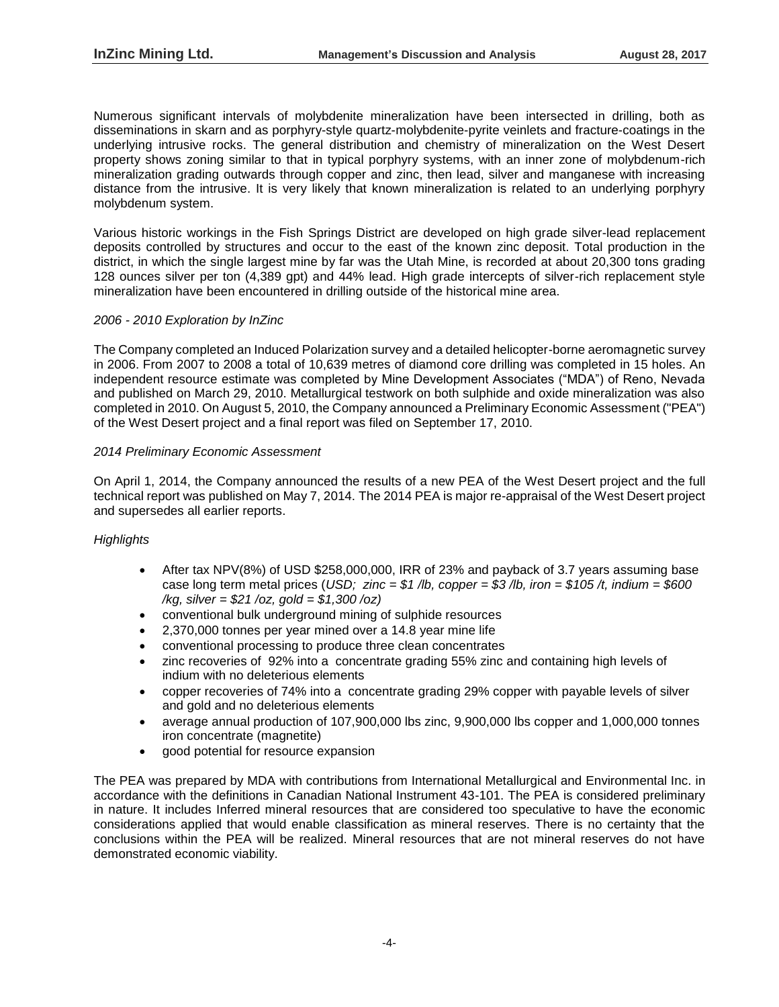Numerous significant intervals of molybdenite mineralization have been intersected in drilling, both as disseminations in skarn and as porphyry-style quartz-molybdenite-pyrite veinlets and fracture-coatings in the underlying intrusive rocks. The general distribution and chemistry of mineralization on the West Desert property shows zoning similar to that in typical porphyry systems, with an inner zone of molybdenum-rich mineralization grading outwards through copper and zinc, then lead, silver and manganese with increasing distance from the intrusive. It is very likely that known mineralization is related to an underlying porphyry molybdenum system.

Various historic workings in the Fish Springs District are developed on high grade silver-lead replacement deposits controlled by structures and occur to the east of the known zinc deposit. Total production in the district, in which the single largest mine by far was the Utah Mine, is recorded at about 20,300 tons grading 128 ounces silver per ton (4,389 gpt) and 44% lead. High grade intercepts of silver-rich replacement style mineralization have been encountered in drilling outside of the historical mine area.

## *2006 - 2010 Exploration by InZinc*

The Company completed an Induced Polarization survey and a detailed helicopter-borne aeromagnetic survey in 2006. From 2007 to 2008 a total of 10,639 metres of diamond core drilling was completed in 15 holes. An independent resource estimate was completed by Mine Development Associates ("MDA") of Reno, Nevada and published on March 29, 2010. Metallurgical testwork on both sulphide and oxide mineralization was also completed in 2010. On August 5, 2010, the Company announced a Preliminary Economic Assessment ("PEA") of the West Desert project and a final report was filed on September 17, 2010.

#### *2014 Preliminary Economic Assessment*

On April 1, 2014, the Company announced the results of a new PEA of the West Desert project and the full technical report was published on May 7, 2014. The 2014 PEA is major re-appraisal of the West Desert project and supersedes all earlier reports.

# *Highlights*

- After tax NPV(8%) of USD \$258,000,000, IRR of 23% and payback of 3.7 years assuming base case long term metal prices (*USD; zinc = \$1 /lb, copper = \$3 /lb, iron = \$105 /t, indium = \$600 /kg, silver = \$21 /oz, gold = \$1,300 /oz)*
- conventional bulk underground mining of sulphide resources
- 2,370,000 tonnes per year mined over a 14.8 year mine life
- conventional processing to produce three clean concentrates
- zinc recoveries of 92% into a concentrate grading 55% zinc and containing high levels of indium with no deleterious elements
- copper recoveries of 74% into a concentrate grading 29% copper with payable levels of silver and gold and no deleterious elements
- average annual production of 107,900,000 lbs zinc, 9,900,000 lbs copper and 1,000,000 tonnes iron concentrate (magnetite)
- good potential for resource expansion

The PEA was prepared by MDA with contributions from International Metallurgical and Environmental Inc. in accordance with the definitions in Canadian National Instrument 43-101. The PEA is considered preliminary in nature. It includes Inferred mineral resources that are considered too speculative to have the economic considerations applied that would enable classification as mineral reserves. There is no certainty that the conclusions within the PEA will be realized. Mineral resources that are not mineral reserves do not have demonstrated economic viability.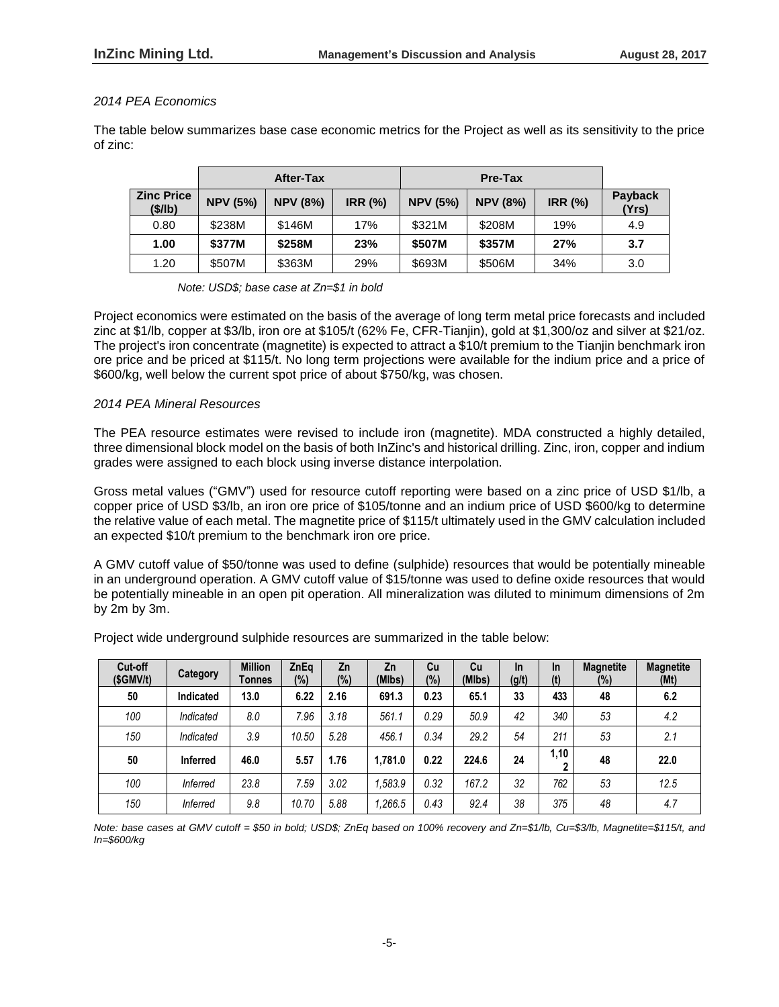# *2014 PEA Economics*

The table below summarizes base case economic metrics for the Project as well as its sensitivity to the price of zinc:

|                              |                 | After-Tax       |        |                 | Pre-Tax         |        |                         |
|------------------------------|-----------------|-----------------|--------|-----------------|-----------------|--------|-------------------------|
| <b>Zinc Price</b><br>(\$/lb) | <b>NPV (5%)</b> | <b>NPV (8%)</b> | IRR(%) | <b>NPV (5%)</b> | <b>NPV (8%)</b> | IRR(%) | <b>Payback</b><br>(Yrs) |
| 0.80                         | \$238M          | \$146M          | 17%    | \$321M          | \$208M          | 19%    | 4.9                     |
| 1.00                         | \$377M          | \$258M          | 23%    | \$507M          | \$357M          | 27%    | 3.7                     |
| 1.20                         | \$507M          | \$363M          | 29%    | \$693M          | \$506M          | 34%    | 3.0                     |

*Note: USD\$; base case at Zn=\$1 in bold*

Project economics were estimated on the basis of the average of long term metal price forecasts and included zinc at \$1/lb, copper at \$3/lb, iron ore at \$105/t (62% Fe, CFR-Tianjin), gold at \$1,300/oz and silver at \$21/oz. The project's iron concentrate (magnetite) is expected to attract a \$10/t premium to the Tianjin benchmark iron ore price and be priced at \$115/t. No long term projections were available for the indium price and a price of \$600/kg, well below the current spot price of about \$750/kg, was chosen.

#### *2014 PEA Mineral Resources*

The PEA resource estimates were revised to include iron (magnetite). MDA constructed a highly detailed, three dimensional block model on the basis of both InZinc's and historical drilling. Zinc, iron, copper and indium grades were assigned to each block using inverse distance interpolation.

Gross metal values ("GMV") used for resource cutoff reporting were based on a zinc price of USD \$1/lb, a copper price of USD \$3/lb, an iron ore price of \$105/tonne and an indium price of USD \$600/kg to determine the relative value of each metal. The magnetite price of \$115/t ultimately used in the GMV calculation included an expected \$10/t premium to the benchmark iron ore price.

A GMV cutoff value of \$50/tonne was used to define (sulphide) resources that would be potentially mineable in an underground operation. A GMV cutoff value of \$15/tonne was used to define oxide resources that would be potentially mineable in an open pit operation. All mineralization was diluted to minimum dimensions of 2m by 2m by 3m.

Project wide underground sulphide resources are summarized in the table below:

| Cut-off<br>(SGMV/t) | Category        | <b>Million</b><br>Tonnes | ZnEq<br>(%) | Zn<br>(%) | Zn<br>(MIbs) | Cu<br>(%) | Cu<br>(MIbs) | <b>In</b><br>(g/t) | <b>In</b><br>(t) | <b>Magnetite</b><br>(%) | <b>Magnetite</b><br>(Mt) |
|---------------------|-----------------|--------------------------|-------------|-----------|--------------|-----------|--------------|--------------------|------------------|-------------------------|--------------------------|
| 50                  | Indicated       | 13.0                     | 6.22        | 2.16      | 691.3        | 0.23      | 65.1         | 33                 | 433              | 48                      | 6.2                      |
| 100                 | Indicated       | 8.0                      | 7.96        | 3.18      | 561.1        | 0.29      | 50.9         | 42                 | 340              | 53                      | 4.2                      |
| 150                 | Indicated       | 3.9                      | 10.50       | 5.28      | 456.1        | 0.34      | 29.2         | 54                 | 211              | 53                      | 2.1                      |
| 50                  | <b>Inferred</b> | 46.0                     | 5.57        | 1.76      | 1.781.0      | 0.22      | 224.6        | 24                 | 1,10             | 48                      | 22.0                     |
| 100                 | <b>Inferred</b> | 23.8                     | 7.59        | 3.02      | .583.9       | 0.32      | 167.2        | 32                 | 762              | 53                      | 12.5                     |
| 150                 | <b>Inferred</b> | 9.8                      | 10.70       | 5.88      | ,266.5       | 0.43      | 92.4         | 38                 | 375              | 48                      | 4.7                      |

*Note: base cases at GMV cutoff = \$50 in bold; USD\$; ZnEq based on 100% recovery and Zn=\$1/lb, Cu=\$3/lb, Magnetite=\$115/t, and In=\$600/kg*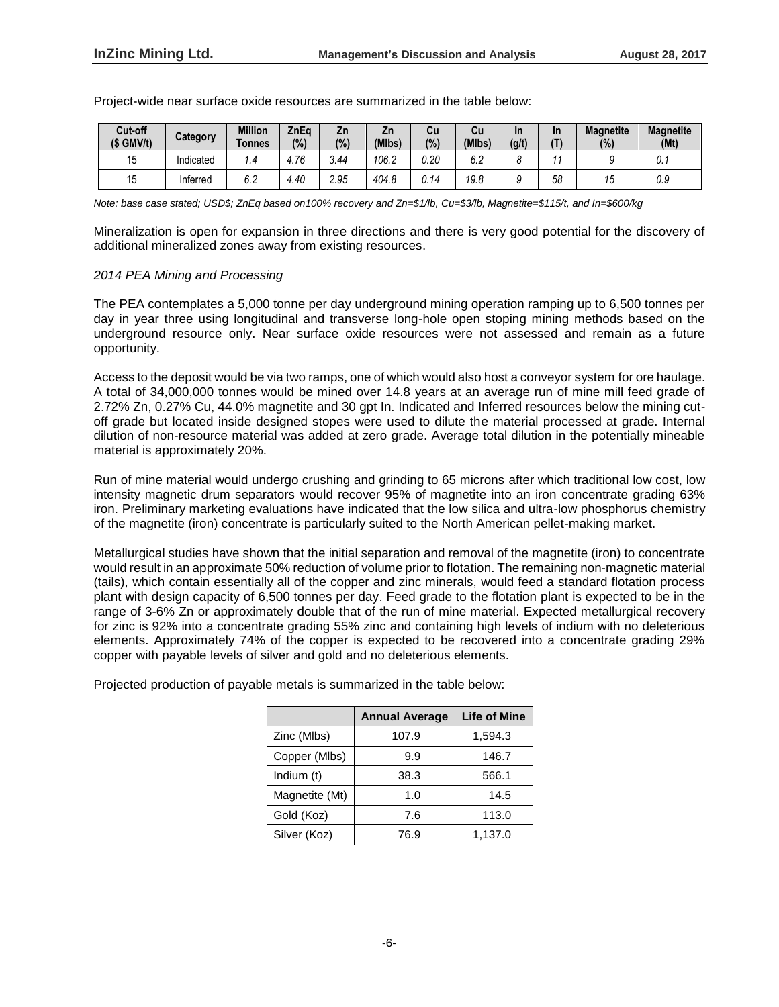| Cut-off<br>$(S \text{ GMV/t})$ | Category  | <b>Million</b><br>Tonnes | ZnEa<br>(%) | Zn<br>(%) | ۷'n<br>(MIbs) | Cu<br>(% )  | Cu<br>(MIbs)         | In<br>(g/t) | <b>In</b> | <b>Magnetite</b><br>(%) | <b>Magnetite</b><br>(Mt) |
|--------------------------------|-----------|--------------------------|-------------|-----------|---------------|-------------|----------------------|-------------|-----------|-------------------------|--------------------------|
|                                | Indicated | 1.4                      | 4.76        | 3.44      | 106.2         | 0.20        | $\sim$ $\sim$<br>o.z |             |           |                         | v. I                     |
| 15                             | Inferred  | 6.2                      | 4.40        | 2.95      | 404.8         | <u>J.14</u> | 19.8                 | u           | 58        | IJ                      | 0.9                      |

Project-wide near surface oxide resources are summarized in the table below:

*Note: base case stated; USD\$; ZnEq based on100% recovery and Zn=\$1/lb, Cu=\$3/lb, Magnetite=\$115/t, and In=\$600/kg*

Mineralization is open for expansion in three directions and there is very good potential for the discovery of additional mineralized zones away from existing resources.

## *2014 PEA Mining and Processing*

The PEA contemplates a 5,000 tonne per day underground mining operation ramping up to 6,500 tonnes per day in year three using longitudinal and transverse long-hole open stoping mining methods based on the underground resource only. Near surface oxide resources were not assessed and remain as a future opportunity.

Access to the deposit would be via two ramps, one of which would also host a conveyor system for ore haulage. A total of 34,000,000 tonnes would be mined over 14.8 years at an average run of mine mill feed grade of 2.72% Zn, 0.27% Cu, 44.0% magnetite and 30 gpt In. Indicated and Inferred resources below the mining cutoff grade but located inside designed stopes were used to dilute the material processed at grade. Internal dilution of non-resource material was added at zero grade. Average total dilution in the potentially mineable material is approximately 20%.

Run of mine material would undergo crushing and grinding to 65 microns after which traditional low cost, low intensity magnetic drum separators would recover 95% of magnetite into an iron concentrate grading 63% iron. Preliminary marketing evaluations have indicated that the low silica and ultra-low phosphorus chemistry of the magnetite (iron) concentrate is particularly suited to the North American pellet-making market.

Metallurgical studies have shown that the initial separation and removal of the magnetite (iron) to concentrate would result in an approximate 50% reduction of volume prior to flotation. The remaining non-magnetic material (tails), which contain essentially all of the copper and zinc minerals, would feed a standard flotation process plant with design capacity of 6,500 tonnes per day. Feed grade to the flotation plant is expected to be in the range of 3-6% Zn or approximately double that of the run of mine material. Expected metallurgical recovery for zinc is 92% into a concentrate grading 55% zinc and containing high levels of indium with no deleterious elements. Approximately 74% of the copper is expected to be recovered into a concentrate grading 29% copper with payable levels of silver and gold and no deleterious elements.

Projected production of payable metals is summarized in the table below:

|                | <b>Annual Average</b> | <b>Life of Mine</b> |
|----------------|-----------------------|---------------------|
| Zinc (Mlbs)    | 107.9                 | 1,594.3             |
| Copper (Mlbs)  | 9.9                   | 146.7               |
| Indium (t)     | 38.3                  | 566.1               |
| Magnetite (Mt) | 1.0                   | 14.5                |
| Gold (Koz)     | 7.6                   | 113.0               |
| Silver (Koz)   | 76.9                  | 1,137.0             |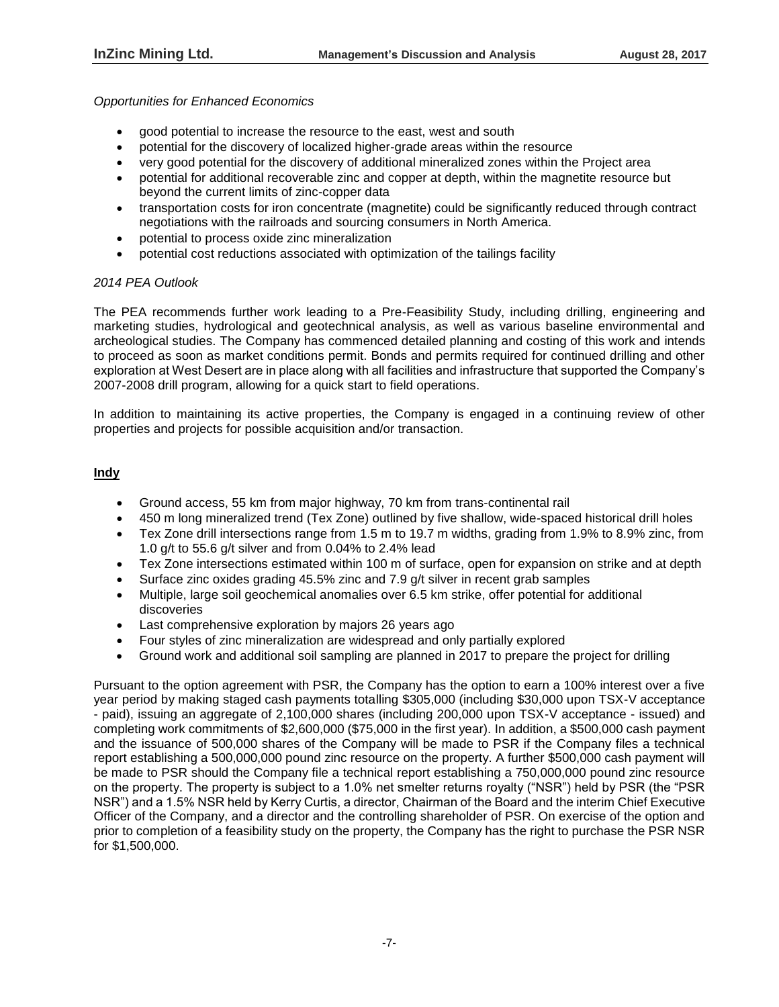## *Opportunities for Enhanced Economics*

- good potential to increase the resource to the east, west and south
- potential for the discovery of localized higher-grade areas within the resource
- very good potential for the discovery of additional mineralized zones within the Project area
- potential for additional recoverable zinc and copper at depth, within the magnetite resource but beyond the current limits of zinc-copper data
- transportation costs for iron concentrate (magnetite) could be significantly reduced through contract negotiations with the railroads and sourcing consumers in North America.
- potential to process oxide zinc mineralization
- potential cost reductions associated with optimization of the tailings facility

## *2014 PEA Outlook*

The PEA recommends further work leading to a Pre-Feasibility Study, including drilling, engineering and marketing studies, hydrological and geotechnical analysis, as well as various baseline environmental and archeological studies. The Company has commenced detailed planning and costing of this work and intends to proceed as soon as market conditions permit. Bonds and permits required for continued drilling and other exploration at West Desert are in place along with all facilities and infrastructure that supported the Company's 2007-2008 drill program, allowing for a quick start to field operations.

In addition to maintaining its active properties, the Company is engaged in a continuing review of other properties and projects for possible acquisition and/or transaction.

# **Indy**

- Ground access, 55 km from major highway, 70 km from trans-continental rail
- 450 m long mineralized trend (Tex Zone) outlined by five shallow, wide-spaced historical drill holes
- Tex Zone drill intersections range from 1.5 m to 19.7 m widths, grading from 1.9% to 8.9% zinc, from 1.0 g/t to 55.6 g/t silver and from 0.04% to 2.4% lead
- Tex Zone intersections estimated within 100 m of surface, open for expansion on strike and at depth
- Surface zinc oxides grading 45.5% zinc and 7.9 g/t silver in recent grab samples
- Multiple, large soil geochemical anomalies over 6.5 km strike, offer potential for additional discoveries
- Last comprehensive exploration by majors 26 years ago
- Four styles of zinc mineralization are widespread and only partially explored
- Ground work and additional soil sampling are planned in 2017 to prepare the project for drilling

Pursuant to the option agreement with PSR, the Company has the option to earn a 100% interest over a five year period by making staged cash payments totalling \$305,000 (including \$30,000 upon TSX-V acceptance - paid), issuing an aggregate of 2,100,000 shares (including 200,000 upon TSX-V acceptance - issued) and completing work commitments of \$2,600,000 (\$75,000 in the first year). In addition, a \$500,000 cash payment and the issuance of 500,000 shares of the Company will be made to PSR if the Company files a technical report establishing a 500,000,000 pound zinc resource on the property. A further \$500,000 cash payment will be made to PSR should the Company file a technical report establishing a 750,000,000 pound zinc resource on the property. The property is subject to a 1.0% net smelter returns royalty ("NSR") held by PSR (the "PSR NSR") and a 1.5% NSR held by Kerry Curtis, a director, Chairman of the Board and the interim Chief Executive Officer of the Company, and a director and the controlling shareholder of PSR. On exercise of the option and prior to completion of a feasibility study on the property, the Company has the right to purchase the PSR NSR for \$1,500,000.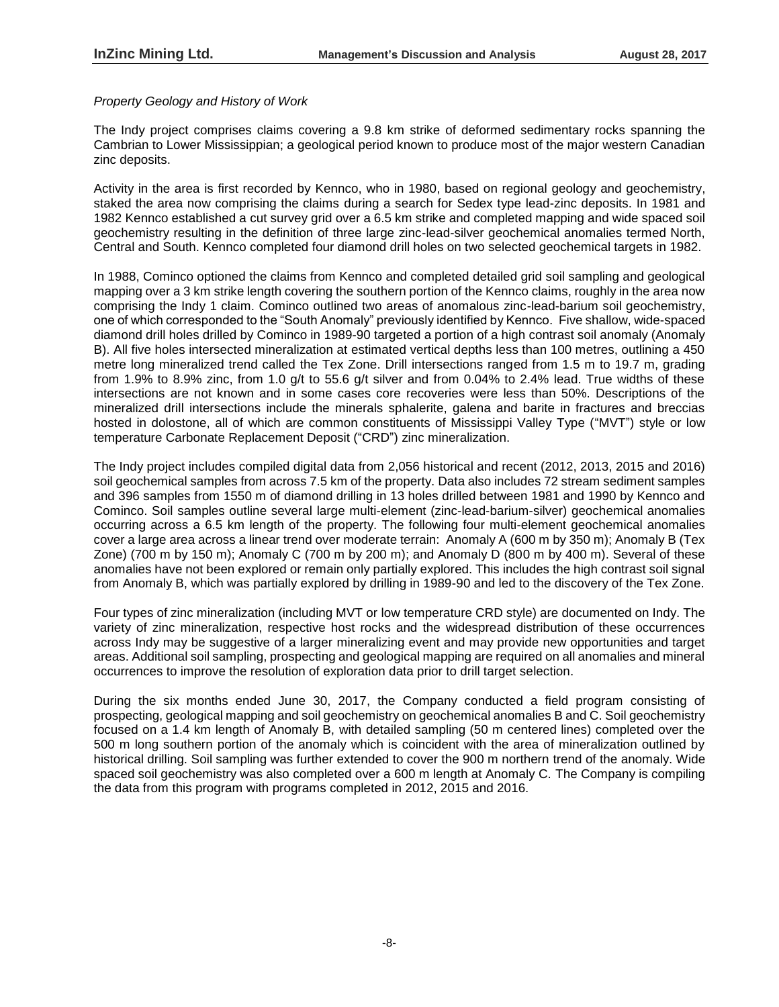### *Property Geology and History of Work*

The Indy project comprises claims covering a 9.8 km strike of deformed sedimentary rocks spanning the Cambrian to Lower Mississippian; a geological period known to produce most of the major western Canadian zinc deposits.

Activity in the area is first recorded by Kennco, who in 1980, based on regional geology and geochemistry, staked the area now comprising the claims during a search for Sedex type lead-zinc deposits. In 1981 and 1982 Kennco established a cut survey grid over a 6.5 km strike and completed mapping and wide spaced soil geochemistry resulting in the definition of three large zinc-lead-silver geochemical anomalies termed North, Central and South. Kennco completed four diamond drill holes on two selected geochemical targets in 1982.

In 1988, Cominco optioned the claims from Kennco and completed detailed grid soil sampling and geological mapping over a 3 km strike length covering the southern portion of the Kennco claims, roughly in the area now comprising the Indy 1 claim. Cominco outlined two areas of anomalous zinc-lead-barium soil geochemistry, one of which corresponded to the "South Anomaly" previously identified by Kennco. Five shallow, wide-spaced diamond drill holes drilled by Cominco in 1989-90 targeted a portion of a high contrast soil anomaly (Anomaly B). All five holes intersected mineralization at estimated vertical depths less than 100 metres, outlining a 450 metre long mineralized trend called the Tex Zone. Drill intersections ranged from 1.5 m to 19.7 m, grading from 1.9% to 8.9% zinc, from 1.0 g/t to 55.6 g/t silver and from 0.04% to 2.4% lead. True widths of these intersections are not known and in some cases core recoveries were less than 50%. Descriptions of the mineralized drill intersections include the minerals sphalerite, galena and barite in fractures and breccias hosted in dolostone, all of which are common constituents of Mississippi Valley Type ("MVT") style or low temperature Carbonate Replacement Deposit ("CRD") zinc mineralization.

The Indy project includes compiled digital data from 2,056 historical and recent (2012, 2013, 2015 and 2016) soil geochemical samples from across 7.5 km of the property. Data also includes 72 stream sediment samples and 396 samples from 1550 m of diamond drilling in 13 holes drilled between 1981 and 1990 by Kennco and Cominco. Soil samples outline several large multi-element (zinc-lead-barium-silver) geochemical anomalies occurring across a 6.5 km length of the property. The following four multi-element geochemical anomalies cover a large area across a linear trend over moderate terrain: Anomaly A (600 m by 350 m); Anomaly B (Tex Zone) (700 m by 150 m); Anomaly C (700 m by 200 m); and Anomaly D (800 m by 400 m). Several of these anomalies have not been explored or remain only partially explored. This includes the high contrast soil signal from Anomaly B, which was partially explored by drilling in 1989-90 and led to the discovery of the Tex Zone.

Four types of zinc mineralization (including MVT or low temperature CRD style) are documented on Indy. The variety of zinc mineralization, respective host rocks and the widespread distribution of these occurrences across Indy may be suggestive of a larger mineralizing event and may provide new opportunities and target areas. Additional soil sampling, prospecting and geological mapping are required on all anomalies and mineral occurrences to improve the resolution of exploration data prior to drill target selection.

During the six months ended June 30, 2017, the Company conducted a field program consisting of prospecting, geological mapping and soil geochemistry on geochemical anomalies B and C. Soil geochemistry focused on a 1.4 km length of Anomaly B, with detailed sampling (50 m centered lines) completed over the 500 m long southern portion of the anomaly which is coincident with the area of mineralization outlined by historical drilling. Soil sampling was further extended to cover the 900 m northern trend of the anomaly. Wide spaced soil geochemistry was also completed over a 600 m length at Anomaly C. The Company is compiling the data from this program with programs completed in 2012, 2015 and 2016.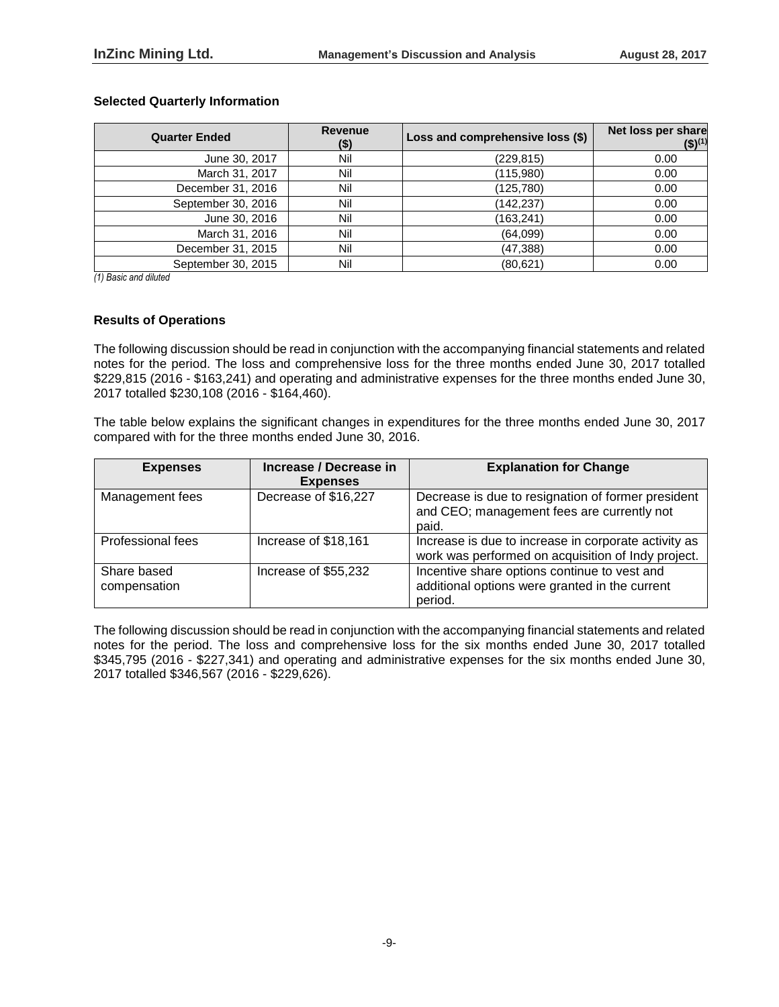#### **Selected Quarterly Information**

| <b>Quarter Ended</b> | <b>Revenue</b><br>$($ \$) | Loss and comprehensive loss (\$) | Net loss per share<br>$($ \$) <sup>(1)</sup> |
|----------------------|---------------------------|----------------------------------|----------------------------------------------|
| June 30, 2017        | Nil                       | (229, 815)                       | 0.00                                         |
| March 31, 2017       | Nil                       | (115,980)                        | 0.00                                         |
| December 31, 2016    | Nil                       | (125, 780)                       | 0.00                                         |
| September 30, 2016   | Nil                       | (142, 237)                       | 0.00                                         |
| June 30, 2016        | Nil                       | (163, 241)                       | 0.00                                         |
| March 31, 2016       | Nil                       | (64,099)                         | 0.00                                         |
| December 31, 2015    | Nil                       | (47, 388)                        | 0.00                                         |
| September 30, 2015   | Nil                       | (80, 621)                        | 0.00                                         |

*(1) Basic and diluted*

#### **Results of Operations**

The following discussion should be read in conjunction with the accompanying financial statements and related notes for the period. The loss and comprehensive loss for the three months ended June 30, 2017 totalled \$229,815 (2016 - \$163,241) and operating and administrative expenses for the three months ended June 30, 2017 totalled \$230,108 (2016 - \$164,460).

The table below explains the significant changes in expenditures for the three months ended June 30, 2017 compared with for the three months ended June 30, 2016.

| <b>Expenses</b>             | Increase / Decrease in<br><b>Expenses</b> | <b>Explanation for Change</b>                                                                              |
|-----------------------------|-------------------------------------------|------------------------------------------------------------------------------------------------------------|
| Management fees             | Decrease of \$16,227                      | Decrease is due to resignation of former president<br>and CEO; management fees are currently not<br>paid.  |
| Professional fees           | Increase of \$18,161                      | Increase is due to increase in corporate activity as<br>work was performed on acquisition of Indy project. |
| Share based<br>compensation | Increase of \$55,232                      | Incentive share options continue to vest and<br>additional options were granted in the current<br>period.  |

The following discussion should be read in conjunction with the accompanying financial statements and related notes for the period. The loss and comprehensive loss for the six months ended June 30, 2017 totalled \$345,795 (2016 - \$227,341) and operating and administrative expenses for the six months ended June 30, 2017 totalled \$346,567 (2016 - \$229,626).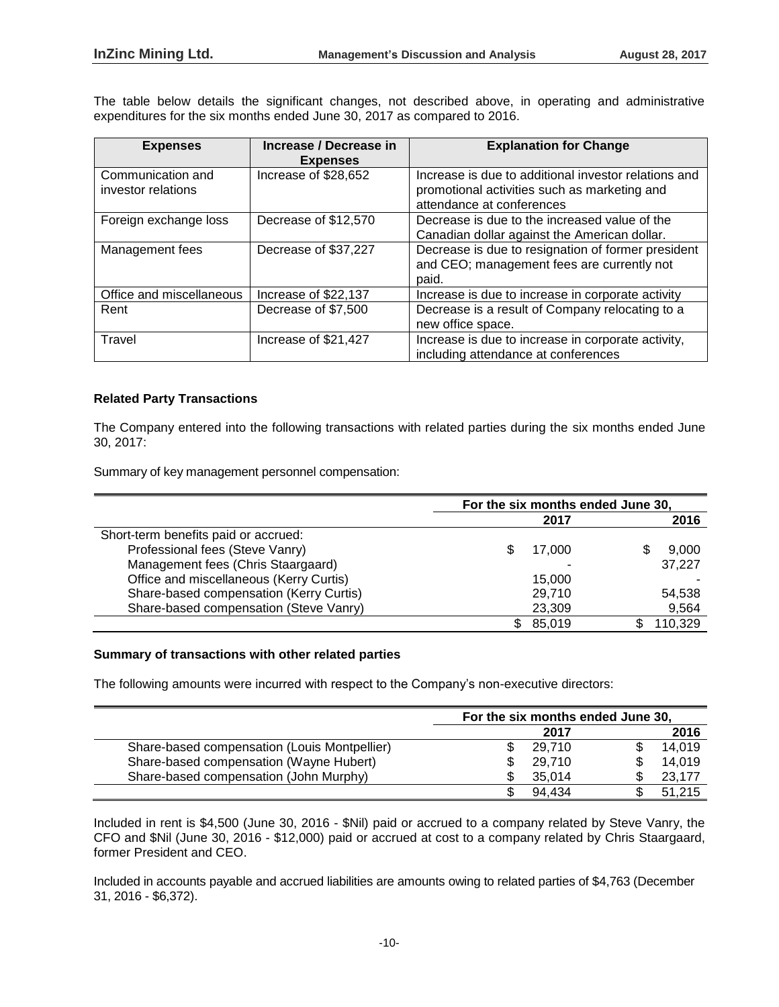The table below details the significant changes, not described above, in operating and administrative expenditures for the six months ended June 30, 2017 as compared to 2016.

| <b>Expenses</b>                         | Increase / Decrease in<br><b>Expenses</b> | <b>Explanation for Change</b>                                                                                                     |
|-----------------------------------------|-------------------------------------------|-----------------------------------------------------------------------------------------------------------------------------------|
| Communication and<br>investor relations | Increase of \$28,652                      | Increase is due to additional investor relations and<br>promotional activities such as marketing and<br>attendance at conferences |
| Foreign exchange loss                   | Decrease of \$12,570                      | Decrease is due to the increased value of the<br>Canadian dollar against the American dollar.                                     |
| Management fees                         | Decrease of \$37,227                      | Decrease is due to resignation of former president<br>and CEO; management fees are currently not<br>paid.                         |
| Office and miscellaneous                | Increase of \$22,137                      | Increase is due to increase in corporate activity                                                                                 |
| Rent                                    | Decrease of \$7,500                       | Decrease is a result of Company relocating to a<br>new office space.                                                              |
| Travel                                  | Increase of \$21,427                      | Increase is due to increase in corporate activity,<br>including attendance at conferences                                         |

#### **Related Party Transactions**

The Company entered into the following transactions with related parties during the six months ended June 30, 2017:

Summary of key management personnel compensation:

|                                         | For the six months ended June 30, |         |  |  |
|-----------------------------------------|-----------------------------------|---------|--|--|
|                                         | 2017                              | 2016    |  |  |
| Short-term benefits paid or accrued:    |                                   |         |  |  |
| Professional fees (Steve Vanry)         | 17.000                            | 9,000   |  |  |
| Management fees (Chris Staargaard)      |                                   | 37,227  |  |  |
| Office and miscellaneous (Kerry Curtis) | 15.000                            |         |  |  |
| Share-based compensation (Kerry Curtis) | 29,710                            | 54,538  |  |  |
| Share-based compensation (Steve Vanry)  | 23,309                            | 9,564   |  |  |
|                                         | 85,019                            | 110,329 |  |  |

## **Summary of transactions with other related parties**

The following amounts were incurred with respect to the Company's non-executive directors:

|                                              | For the six months ended June 30, |        |  |        |  |
|----------------------------------------------|-----------------------------------|--------|--|--------|--|
|                                              |                                   | 2017   |  | 2016   |  |
| Share-based compensation (Louis Montpellier) |                                   | 29.710 |  | 14,019 |  |
| Share-based compensation (Wayne Hubert)      |                                   | 29.710 |  | 14.019 |  |
| Share-based compensation (John Murphy)       |                                   | 35,014 |  | 23,177 |  |
|                                              |                                   | 94.434 |  | 51.215 |  |

Included in rent is \$4,500 (June 30, 2016 - \$Nil) paid or accrued to a company related by Steve Vanry, the CFO and \$Nil (June 30, 2016 - \$12,000) paid or accrued at cost to a company related by Chris Staargaard, former President and CEO.

Included in accounts payable and accrued liabilities are amounts owing to related parties of \$4,763 (December 31, 2016 - \$6,372).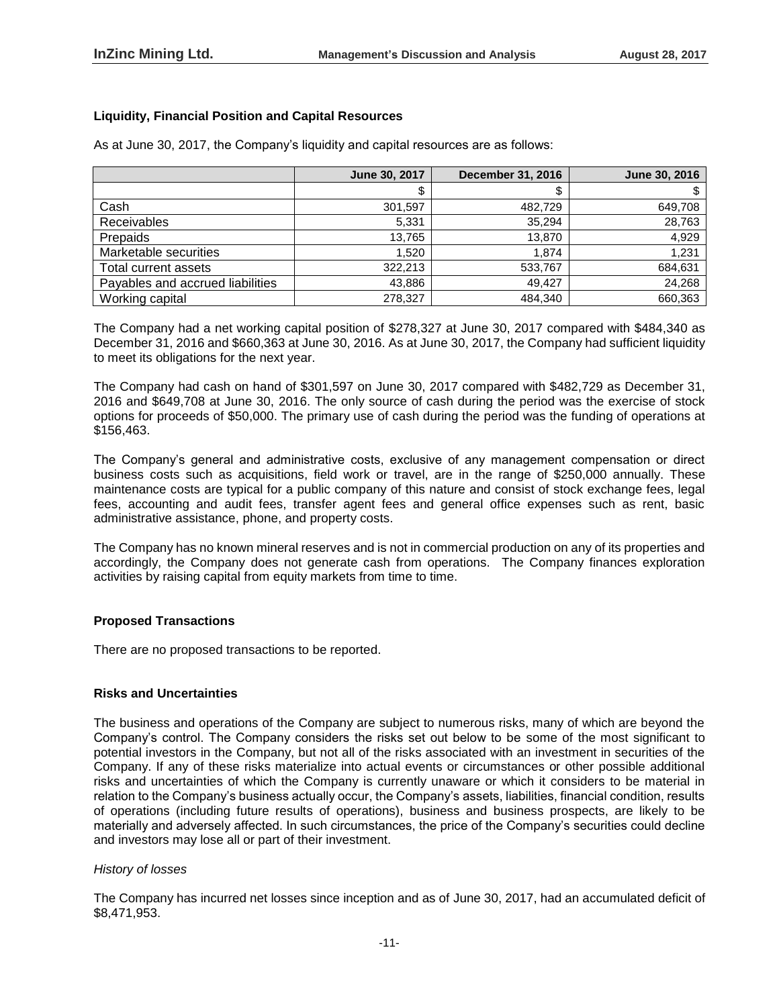# **Liquidity, Financial Position and Capital Resources**

| As at June 30, 2017, the Company's liquidity and capital resources are as follows: |  |
|------------------------------------------------------------------------------------|--|
|------------------------------------------------------------------------------------|--|

|                                  | June 30, 2017 | <b>December 31, 2016</b> | June 30, 2016 |
|----------------------------------|---------------|--------------------------|---------------|
|                                  | \$            |                          |               |
| Cash                             | 301.597       | 482.729                  | 649.708       |
| Receivables                      | 5.331         | 35.294                   | 28,763        |
| Prepaids                         | 13.765        | 13.870                   | 4,929         |
| Marketable securities            | 1.520         | 1.874                    | 1,231         |
| Total current assets             | 322,213       | 533,767                  | 684,631       |
| Payables and accrued liabilities | 43.886        | 49.427                   | 24,268        |
| Working capital                  | 278,327       | 484.340                  | 660,363       |

The Company had a net working capital position of \$278,327 at June 30, 2017 compared with \$484,340 as December 31, 2016 and \$660,363 at June 30, 2016. As at June 30, 2017, the Company had sufficient liquidity to meet its obligations for the next year.

The Company had cash on hand of \$301,597 on June 30, 2017 compared with \$482,729 as December 31, 2016 and \$649,708 at June 30, 2016. The only source of cash during the period was the exercise of stock options for proceeds of \$50,000. The primary use of cash during the period was the funding of operations at \$156,463.

The Company's general and administrative costs, exclusive of any management compensation or direct business costs such as acquisitions, field work or travel, are in the range of \$250,000 annually. These maintenance costs are typical for a public company of this nature and consist of stock exchange fees, legal fees, accounting and audit fees, transfer agent fees and general office expenses such as rent, basic administrative assistance, phone, and property costs.

The Company has no known mineral reserves and is not in commercial production on any of its properties and accordingly, the Company does not generate cash from operations. The Company finances exploration activities by raising capital from equity markets from time to time.

#### **Proposed Transactions**

There are no proposed transactions to be reported.

#### **Risks and Uncertainties**

The business and operations of the Company are subject to numerous risks, many of which are beyond the Company's control. The Company considers the risks set out below to be some of the most significant to potential investors in the Company, but not all of the risks associated with an investment in securities of the Company. If any of these risks materialize into actual events or circumstances or other possible additional risks and uncertainties of which the Company is currently unaware or which it considers to be material in relation to the Company's business actually occur, the Company's assets, liabilities, financial condition, results of operations (including future results of operations), business and business prospects, are likely to be materially and adversely affected. In such circumstances, the price of the Company's securities could decline and investors may lose all or part of their investment.

#### *History of losses*

The Company has incurred net losses since inception and as of June 30, 2017, had an accumulated deficit of \$8,471,953.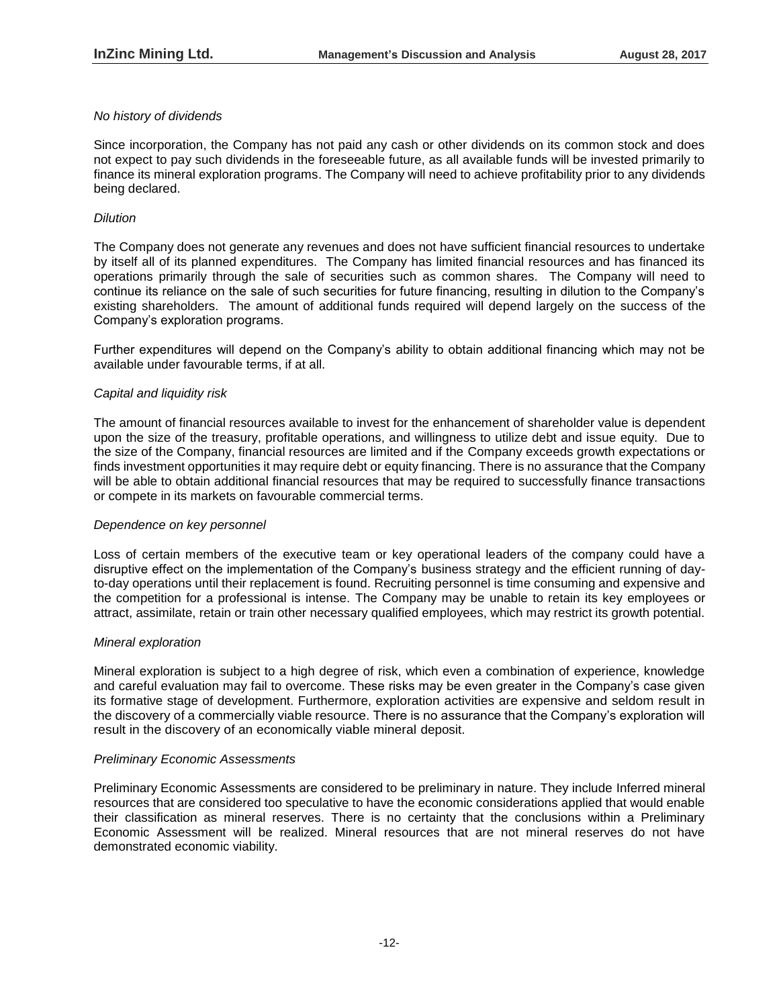## *No history of dividends*

Since incorporation, the Company has not paid any cash or other dividends on its common stock and does not expect to pay such dividends in the foreseeable future, as all available funds will be invested primarily to finance its mineral exploration programs. The Company will need to achieve profitability prior to any dividends being declared.

## *Dilution*

The Company does not generate any revenues and does not have sufficient financial resources to undertake by itself all of its planned expenditures. The Company has limited financial resources and has financed its operations primarily through the sale of securities such as common shares. The Company will need to continue its reliance on the sale of such securities for future financing, resulting in dilution to the Company's existing shareholders. The amount of additional funds required will depend largely on the success of the Company's exploration programs.

Further expenditures will depend on the Company's ability to obtain additional financing which may not be available under favourable terms, if at all.

## *Capital and liquidity risk*

The amount of financial resources available to invest for the enhancement of shareholder value is dependent upon the size of the treasury, profitable operations, and willingness to utilize debt and issue equity. Due to the size of the Company, financial resources are limited and if the Company exceeds growth expectations or finds investment opportunities it may require debt or equity financing. There is no assurance that the Company will be able to obtain additional financial resources that may be required to successfully finance transactions or compete in its markets on favourable commercial terms.

#### *Dependence on key personnel*

Loss of certain members of the executive team or key operational leaders of the company could have a disruptive effect on the implementation of the Company's business strategy and the efficient running of dayto-day operations until their replacement is found. Recruiting personnel is time consuming and expensive and the competition for a professional is intense. The Company may be unable to retain its key employees or attract, assimilate, retain or train other necessary qualified employees, which may restrict its growth potential.

#### *Mineral exploration*

Mineral exploration is subject to a high degree of risk, which even a combination of experience, knowledge and careful evaluation may fail to overcome. These risks may be even greater in the Company's case given its formative stage of development. Furthermore, exploration activities are expensive and seldom result in the discovery of a commercially viable resource. There is no assurance that the Company's exploration will result in the discovery of an economically viable mineral deposit.

#### *Preliminary Economic Assessments*

Preliminary Economic Assessments are considered to be preliminary in nature. They include Inferred mineral resources that are considered too speculative to have the economic considerations applied that would enable their classification as mineral reserves. There is no certainty that the conclusions within a Preliminary Economic Assessment will be realized. Mineral resources that are not mineral reserves do not have demonstrated economic viability.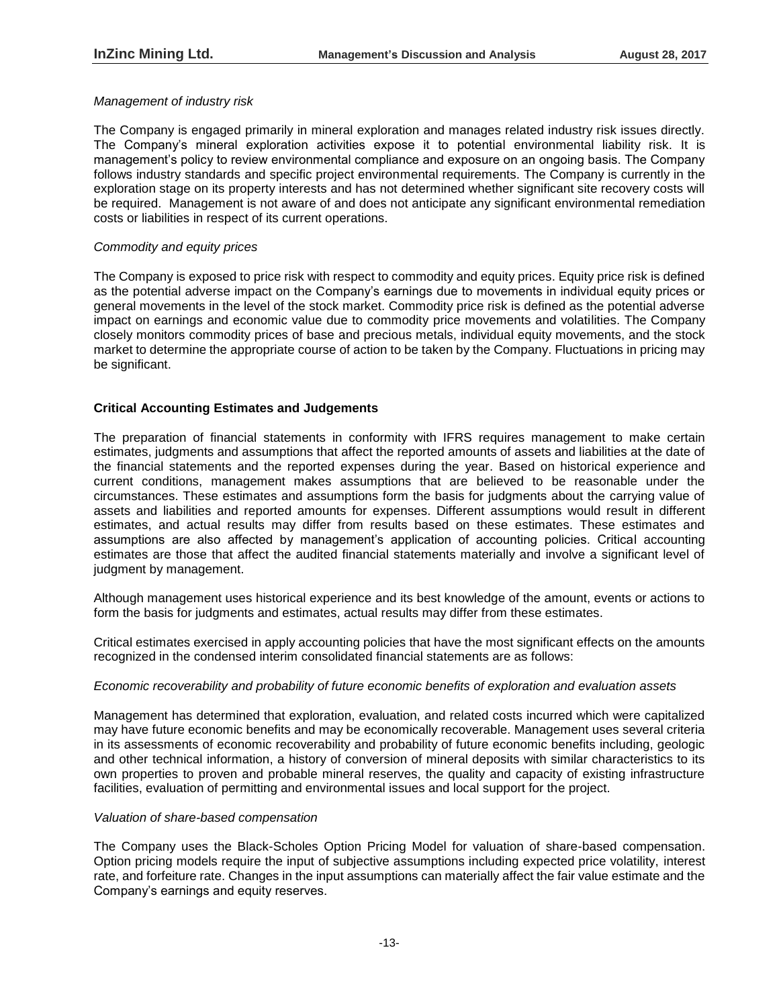### *Management of industry risk*

The Company is engaged primarily in mineral exploration and manages related industry risk issues directly. The Company's mineral exploration activities expose it to potential environmental liability risk. It is management's policy to review environmental compliance and exposure on an ongoing basis. The Company follows industry standards and specific project environmental requirements. The Company is currently in the exploration stage on its property interests and has not determined whether significant site recovery costs will be required. Management is not aware of and does not anticipate any significant environmental remediation costs or liabilities in respect of its current operations.

#### *Commodity and equity prices*

The Company is exposed to price risk with respect to commodity and equity prices. Equity price risk is defined as the potential adverse impact on the Company's earnings due to movements in individual equity prices or general movements in the level of the stock market. Commodity price risk is defined as the potential adverse impact on earnings and economic value due to commodity price movements and volatilities. The Company closely monitors commodity prices of base and precious metals, individual equity movements, and the stock market to determine the appropriate course of action to be taken by the Company. Fluctuations in pricing may be significant.

## **Critical Accounting Estimates and Judgements**

The preparation of financial statements in conformity with IFRS requires management to make certain estimates, judgments and assumptions that affect the reported amounts of assets and liabilities at the date of the financial statements and the reported expenses during the year. Based on historical experience and current conditions, management makes assumptions that are believed to be reasonable under the circumstances. These estimates and assumptions form the basis for judgments about the carrying value of assets and liabilities and reported amounts for expenses. Different assumptions would result in different estimates, and actual results may differ from results based on these estimates. These estimates and assumptions are also affected by management's application of accounting policies. Critical accounting estimates are those that affect the audited financial statements materially and involve a significant level of judgment by management.

Although management uses historical experience and its best knowledge of the amount, events or actions to form the basis for judgments and estimates, actual results may differ from these estimates.

Critical estimates exercised in apply accounting policies that have the most significant effects on the amounts recognized in the condensed interim consolidated financial statements are as follows:

#### *Economic recoverability and probability of future economic benefits of exploration and evaluation assets*

Management has determined that exploration, evaluation, and related costs incurred which were capitalized may have future economic benefits and may be economically recoverable. Management uses several criteria in its assessments of economic recoverability and probability of future economic benefits including, geologic and other technical information, a history of conversion of mineral deposits with similar characteristics to its own properties to proven and probable mineral reserves, the quality and capacity of existing infrastructure facilities, evaluation of permitting and environmental issues and local support for the project.

#### *Valuation of share-based compensation*

The Company uses the Black-Scholes Option Pricing Model for valuation of share-based compensation. Option pricing models require the input of subjective assumptions including expected price volatility, interest rate, and forfeiture rate. Changes in the input assumptions can materially affect the fair value estimate and the Company's earnings and equity reserves.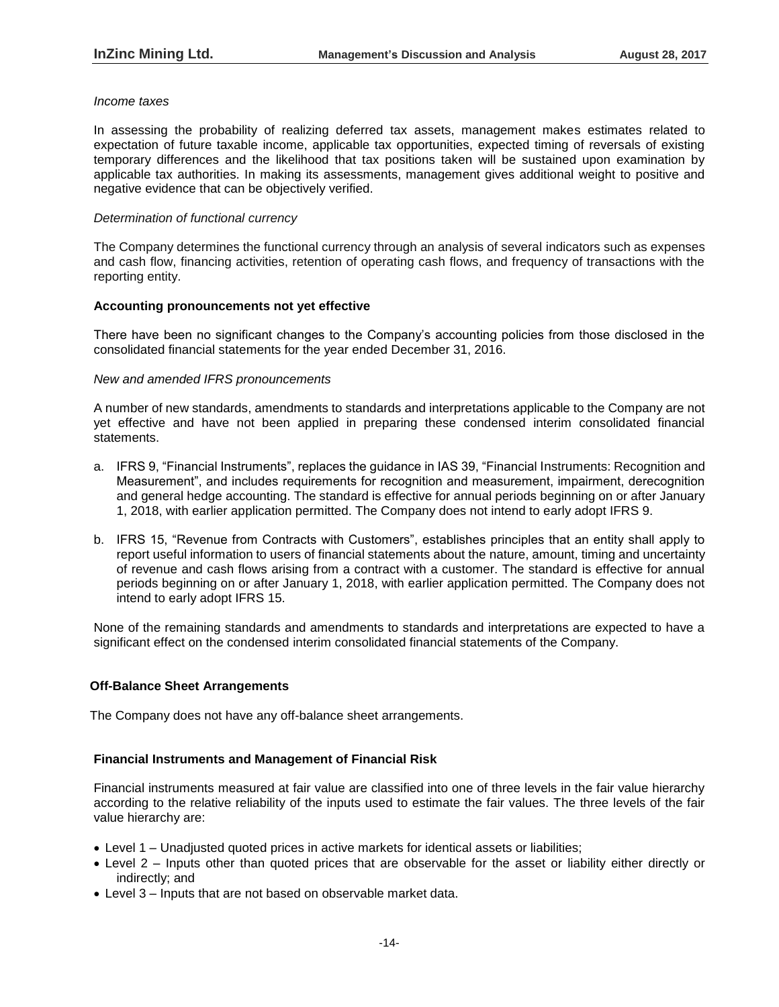#### *Income taxes*

In assessing the probability of realizing deferred tax assets, management makes estimates related to expectation of future taxable income, applicable tax opportunities, expected timing of reversals of existing temporary differences and the likelihood that tax positions taken will be sustained upon examination by applicable tax authorities. In making its assessments, management gives additional weight to positive and negative evidence that can be objectively verified.

#### *Determination of functional currency*

The Company determines the functional currency through an analysis of several indicators such as expenses and cash flow, financing activities, retention of operating cash flows, and frequency of transactions with the reporting entity.

#### **Accounting pronouncements not yet effective**

There have been no significant changes to the Company's accounting policies from those disclosed in the consolidated financial statements for the year ended December 31, 2016.

#### *New and amended IFRS pronouncements*

A number of new standards, amendments to standards and interpretations applicable to the Company are not yet effective and have not been applied in preparing these condensed interim consolidated financial statements.

- a. IFRS 9, "Financial Instruments", replaces the guidance in IAS 39, "Financial Instruments: Recognition and Measurement", and includes requirements for recognition and measurement, impairment, derecognition and general hedge accounting. The standard is effective for annual periods beginning on or after January 1, 2018, with earlier application permitted. The Company does not intend to early adopt IFRS 9.
- b. IFRS 15, "Revenue from Contracts with Customers", establishes principles that an entity shall apply to report useful information to users of financial statements about the nature, amount, timing and uncertainty of revenue and cash flows arising from a contract with a customer. The standard is effective for annual periods beginning on or after January 1, 2018, with earlier application permitted. The Company does not intend to early adopt IFRS 15.

None of the remaining standards and amendments to standards and interpretations are expected to have a significant effect on the condensed interim consolidated financial statements of the Company.

#### **Off-Balance Sheet Arrangements**

The Company does not have any off-balance sheet arrangements.

#### **Financial Instruments and Management of Financial Risk**

Financial instruments measured at fair value are classified into one of three levels in the fair value hierarchy according to the relative reliability of the inputs used to estimate the fair values. The three levels of the fair value hierarchy are:

- Level 1 Unadjusted quoted prices in active markets for identical assets or liabilities;
- Level 2 Inputs other than quoted prices that are observable for the asset or liability either directly or indirectly; and
- Level 3 Inputs that are not based on observable market data.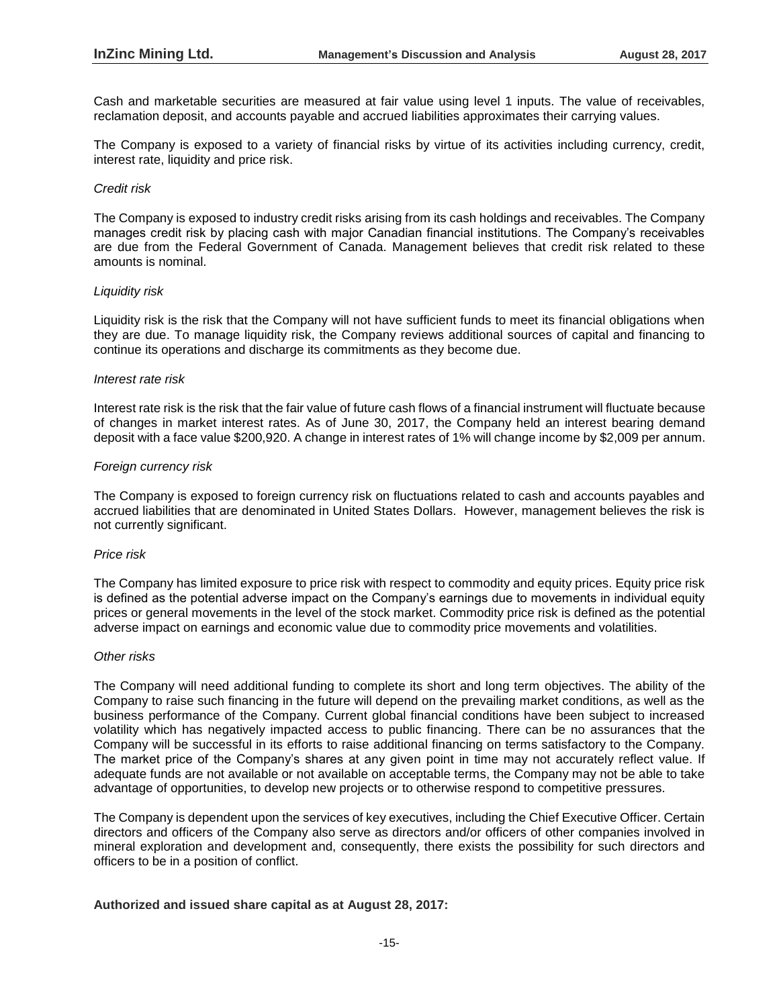Cash and marketable securities are measured at fair value using level 1 inputs. The value of receivables, reclamation deposit, and accounts payable and accrued liabilities approximates their carrying values.

The Company is exposed to a variety of financial risks by virtue of its activities including currency, credit, interest rate, liquidity and price risk.

#### *Credit risk*

The Company is exposed to industry credit risks arising from its cash holdings and receivables. The Company manages credit risk by placing cash with major Canadian financial institutions. The Company's receivables are due from the Federal Government of Canada. Management believes that credit risk related to these amounts is nominal.

#### *Liquidity risk*

Liquidity risk is the risk that the Company will not have sufficient funds to meet its financial obligations when they are due. To manage liquidity risk, the Company reviews additional sources of capital and financing to continue its operations and discharge its commitments as they become due.

#### *Interest rate risk*

Interest rate risk is the risk that the fair value of future cash flows of a financial instrument will fluctuate because of changes in market interest rates. As of June 30, 2017, the Company held an interest bearing demand deposit with a face value \$200,920. A change in interest rates of 1% will change income by \$2,009 per annum.

#### *Foreign currency risk*

The Company is exposed to foreign currency risk on fluctuations related to cash and accounts payables and accrued liabilities that are denominated in United States Dollars. However, management believes the risk is not currently significant.

#### *Price risk*

The Company has limited exposure to price risk with respect to commodity and equity prices. Equity price risk is defined as the potential adverse impact on the Company's earnings due to movements in individual equity prices or general movements in the level of the stock market. Commodity price risk is defined as the potential adverse impact on earnings and economic value due to commodity price movements and volatilities.

#### *Other risks*

The Company will need additional funding to complete its short and long term objectives. The ability of the Company to raise such financing in the future will depend on the prevailing market conditions, as well as the business performance of the Company. Current global financial conditions have been subject to increased volatility which has negatively impacted access to public financing. There can be no assurances that the Company will be successful in its efforts to raise additional financing on terms satisfactory to the Company. The market price of the Company's shares at any given point in time may not accurately reflect value. If adequate funds are not available or not available on acceptable terms, the Company may not be able to take advantage of opportunities, to develop new projects or to otherwise respond to competitive pressures.

The Company is dependent upon the services of key executives, including the Chief Executive Officer. Certain directors and officers of the Company also serve as directors and/or officers of other companies involved in mineral exploration and development and, consequently, there exists the possibility for such directors and officers to be in a position of conflict.

#### **Authorized and issued share capital as at August 28, 2017:**